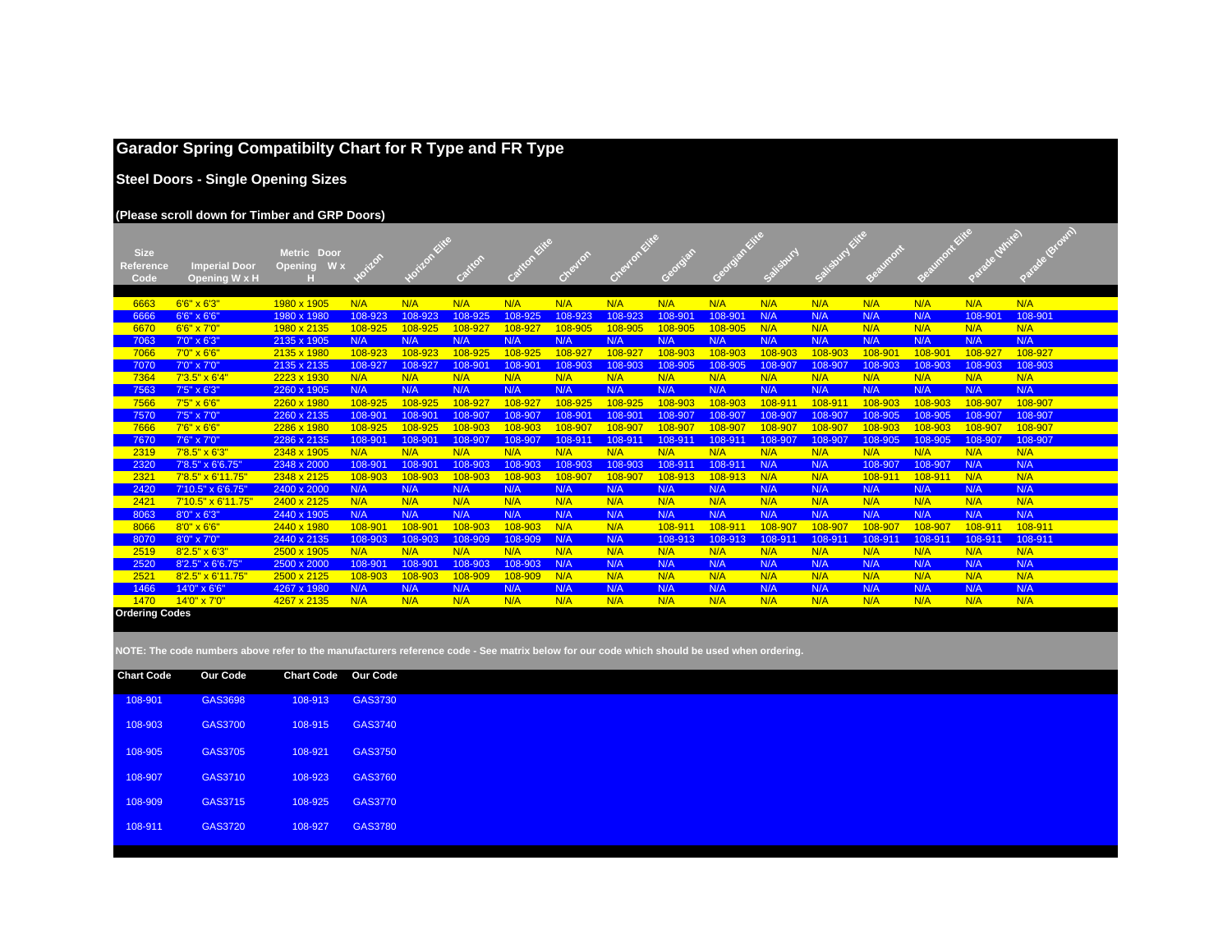## **Garador Spring Compatibilty Chart for R Type and FR Type**

**Steel Doors - Single Opening Sizes**

#### **(Please scroll down for Timber and GRP Doors)**

| <b>Size</b>           |                             | Metric Door                  |                | izlon Kitte |            | <b>INFOREITE</b> |         | trevion Eite |         | adigital sites |           | alisbury Eites |               | aumont Elite | de dunite) |            |
|-----------------------|-----------------------------|------------------------------|----------------|-------------|------------|------------------|---------|--------------|---------|----------------|-----------|----------------|---------------|--------------|------------|------------|
| <b>Reference</b>      | <b>Imperial Door</b>        | $W \times$<br><b>Opening</b> |                |             | Alon       |                  |         |              | orgian  |                |           |                | <b>Rumont</b> |              |            |            |
| Code                  | Opening W x H               |                              |                |             |            |                  | Cheyton |              |         |                | Salisbury |                |               |              |            |            |
|                       |                             |                              |                |             |            |                  |         |              |         |                |           |                |               |              |            |            |
| 6663                  | $6'6'' \times 6'3''$        | 1980 x 1905                  | N/A            | N/A         | N/A        | N/A              | N/A     | N/A          | N/A     | N/A            | N/A       | N/A            | N/A           | N/A          | N/A        | N/A        |
| 6666                  | 6'6" x 6'6"                 | 1980 x 1980                  | 108-923        | 108-923     | 108-925    | 108-925          | 108-923 | 108-923      | 108-901 | 108-901        | N/A       | N/A            | N/A           | N/A          | 108-901    | 108-901    |
| 6670                  | 6'6" x 7'0"                 | 1980 x 2135                  | 108-925        | 108-925     | 108-927    | 108-927          | 108-905 | 108-905      | 108-905 | 108-905        | N/A       | N/A            | N/A           | N/A          | N/A        | N/A        |
| 7063                  | 7'0" x 6'3"                 | 2135 x 1905                  | N/A            | N/A         | N/A        | N/A              | N/A     | N/A          | N/A     | N/A            | N/A       | N/A            | N/A           | N/A          | N/A        | N/A        |
| 7066                  | $7'0'' \times 6'6''$        | 2135 x 1980                  | 108-923        | 108-923     | 108-925    | 108-925          | 108-927 | 108-927      | 108-903 | 108-903        | 108-903   | 108-903        | 108-901       | 108-901      | 108-927    | 108-927    |
| 7070                  | 7'0" x 7'0"                 | 2135 x 2135                  | 108-927        | 108-927     | 108-901    | 108-901          | 108-903 | 108-903      | 108-905 | 108-905        | 108-907   | 108-907        | 108-903       | 108-903      | 108-903    | 108-903    |
| 7364                  | $7'3.5'' \times 6'4''$      | 2223 x 1930                  | N/A            | N/A         | N/A        | N/A              | N/A     | N/A          | N/A     | N/A            | N/A       | N/A            | N/A           | N/A          | N/A        | N/A        |
| 7563                  | 7'5" x 6'3"                 | 2260 x 1905                  | N/A            | N/A         | N/A        | N/A              | N/A     | N/A          | N/A     | N/A            | N/A       | N/A            | N/A           | N/A          | N/A        | N/A        |
| 7566                  | 7'5" x 6'6"                 | 2260 x 1980                  | 108-925        | 108-925     | 108-927    | 108-927          | 108-925 | 108-925      | 108-903 | 108-903        | 108-911   | 108-911        | 108-903       | 108-903      | 108-907    | 108-907    |
| 7570                  | 7'5" x 7'0"                 | 2260 x 2135                  | 108-901        | 108-901     | 108-907    | 108-907          | 108-901 | 108-901      | 108-907 | 108-907        | 108-907   | 108-907        | 108-905       | 108-905      | 108-907    | 108-907    |
| 7666                  | $7'6'' \times 6'6''$        | 2286 x 1980                  | 108-925        | 108-925     | 108-903    | 108-903          | 108-907 | 108-907      | 108-907 | 108-907        | 108-907   | 108-907        | 108-903       | 108-903      | 108-907    | 108-907    |
| 7670                  | 7'6" x 7'0"                 | 2286 x 2135                  | 108-901        | 108-901     | 108-907    | 108-907          | 108-911 | $108 - 91$   | 108-911 | 108-911        | 108-907   | 108-907        | 108-905       | 108-905      | 108-907    | 108-907    |
| 2319                  | $7'8.5'' \times 6'3''$      | 2348 x 1905                  | N/A            | N/A         | N/A        | N/A              | N/A     | N/A          | N/A     | N/A            | N/A       | N/A            | N/A           | N/A          | N/A        | N/A        |
| 2320                  | 7'8.5" x 6'6.75"            | 2348 x 2000                  | 108-901        | 108-901     | 108-903    | 108-903          | 108-903 | 108-903      | 108-911 | 108-911        | N/A       | N/A            | 108-907       | 108-907      | N/A        | N/A        |
| 2321                  | 7'8.5" x 6'11.75"           | 2348 x 2125                  | 108-903        | 108-903     | 108-903    | 108-903          | 108-907 | 108-907      | 108-913 | 108-913        | N/A       | N/A            | 108-911       | 108-911      | N/A        | N/A        |
| 2420                  | 7'10.5" x 6'6.75'           | 2400 x 2000                  | N/A            | N/A         | N/A        | N/A              | N/A     | N/A          | N/A     | N/A            | N/A       | N/A            | N/A           | N/A          | N/A        | N/A        |
| 2421                  | $7'10.5'' \times 6'11.75''$ | 2400 x 2125                  | N/A            | N/A         | N/A        | N/A              | N/A     | N/A          | N/A     | N/A            | N/A       | N/A            | N/A           | N/A          | N/A        | N/A        |
| 8063                  | 8'0" x 6'3"                 | 2440 x 1905                  | N/A            | N/A         | N/A        | N/A              | N/A     | N/A          | N/A     | N/A            | N/A       | N/A            | N/A           | N/A          | N/A        | N/A        |
| 8066                  | $8'0'' \times 6'6''$        | 2440 x 1980                  | 108-901        | 108-901     | 108-903    | 108-903          | N/A     | N/A          | 108-911 | $108 - 91$     | 108-907   | 108-907        | 108-907       | 108-907      | 108-911    | 108-911    |
| 8070                  | 8'0" x 7'0"                 | 2440 x 2135                  | 108-903        | 108-903     | 108-909    | 108-909          | N/A     | N/A          | 108-913 | 108-913        | 108-911   | 108-911        | 108-911       | 108-911      | 108-911    | 108-911    |
| 2519                  | $8'2.5'' \times 6'3''$      | 2500 x 1905                  | N/A            | N/A         | N/A        | N/A              | N/A     | N/A          | N/A     | N/A            | N/A       | N/A            | N/A           | N/A          | N/A        | N/A        |
| 2520                  | 8'2.5" x 6'6.75"            | 2500 x 2000                  | 108-901        | 108-901     | 108-903    | 108-903          | N/A     | N/A          | N/A     | N/A            | N/A       | N/A            | N/A           | N/A          | N/A        | N/A        |
| 2521                  | 8'2.5" x 6'11.75"           | 2500 x 2125                  | 108-903<br>N/A | 108-903     | 108-909    | 108-909<br>N/A   | N/A     | N/A          | N/A     | N/A            | N/A       | N/A            | N/A           | N/A          | N/A        | N/A        |
| 1466<br>1470          | 14'0" x 6'6"                | 4267 x 1980                  | N/A            | N/A<br>N/A  | N/A<br>N/A | N/A              | N/A     | N/A<br>N/A   | N/A     | N/A            | N/A       | N/A<br>N/A     | N/A           | N/A<br>N/A   | N/A<br>N/A | N/A<br>N/A |
| <b>Ordering Codes</b> | $14'0'' \times 7'0''$       | 4267 x 2135                  |                |             |            |                  | N/A     |              | N/A     | N/A            | N/A       |                | N/A           |              |            |            |
|                       |                             |                              |                |             |            |                  |         |              |         |                |           |                |               |              |            |            |

| <b>Chart Code</b> | <b>Our Code</b> | <b>Chart Code</b> | <b>Our Code</b> |  |
|-------------------|-----------------|-------------------|-----------------|--|
| 108-901           | GAS3698         | 108-913           | GAS3730         |  |
| 108-903           | GAS3700         | 108-915           | <b>GAS3740</b>  |  |
| 108-905           | GAS3705         | 108-921           | GAS3750         |  |
| 108-907           | GAS3710         | 108-923           | GAS3760         |  |
| 108-909           | GAS3715         | 108-925           | GAS3770         |  |
| 108-911           | GAS3720         | 108-927           | GAS3780         |  |
|                   |                 |                   |                 |  |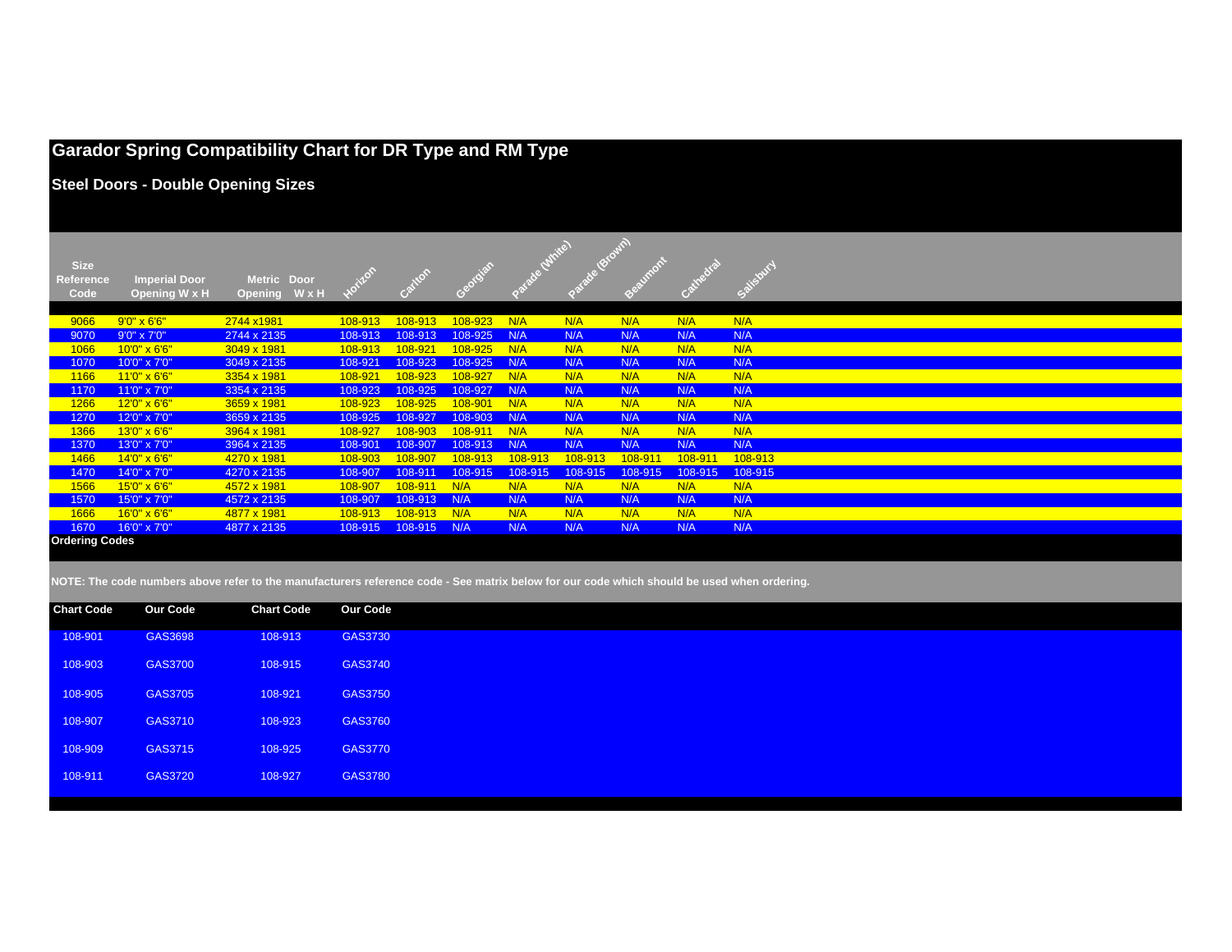## **Garador Spring Compatibility Chart for DR Type and RM Type**

**Steel Doors - Double Opening Sizes**

| <b>Size</b><br><b>Reference</b><br>Code | <b>Imperial Door</b><br>Opening W x H | Metric Door<br>WxH<br><b>Opening</b> |         |         |         |         |         |         |         |         |
|-----------------------------------------|---------------------------------------|--------------------------------------|---------|---------|---------|---------|---------|---------|---------|---------|
| 9066                                    | $9'0'' \times 6'6''$                  | 2744 x1981                           | 108-913 | 108-913 | 108-923 | N/A     | N/A     | N/A     | N/A     | N/A     |
| 9070                                    | $9'0'' \times 7'0''$                  | 2744 x 2135                          | 108-913 | 108-913 | 108-925 | N/A     | N/A     | N/A     | N/A     | N/A     |
| 1066                                    | 10'0" x 6'6"                          | 3049 x 1981                          | 108-913 | 108-921 | 108-925 | N/A     | N/A     | N/A     | N/A     | N/A     |
| 1070                                    | 10'0" x 7'0"                          | 3049 x 2135                          | 108-921 | 108-923 | 108-925 | N/A     | N/A     | N/A     | N/A     | N/A     |
| 1166                                    | 11'0" x 6'6"                          | 3354 x 1981                          | 108-921 | 108-923 | 108-927 | N/A     | N/A     | N/A     | N/A     | N/A     |
| 1170                                    | 11'0" x 7'0"                          | 3354 x 2135                          | 108-923 | 108-925 | 108-927 | N/A     | N/A     | N/A     | N/A     | N/A     |
| 1266                                    | 12'0" x 6'6"                          | 3659 x 1981                          | 108-923 | 108-925 | 108-901 | N/A     | N/A     | N/A     | N/A     | N/A     |
| 1270                                    | 12'0" x 7'0"                          | 3659 x 2135                          | 108-925 | 108-927 | 108-903 | N/A     | N/A     | N/A     | N/A     | N/A     |
| 1366                                    | 13'0" x 6'6"                          | 3964 x 1981                          | 108-927 | 108-903 | 108-911 | N/A     | N/A     | N/A     | N/A     | N/A     |
| 1370                                    | 13'0" x 7'0"                          | 3964 x 2135                          | 108-901 | 108-907 | 108-913 | N/A     | N/A     | N/A     | N/A     | N/A     |
| 1466                                    | 14'0" x 6'6"                          | 4270 x 1981                          | 108-903 | 108-907 | 108-913 | 108-913 | 108-913 | 108-911 | 108-911 | 108-913 |
| 1470                                    | 14'0" x 7'0"                          | 4270 x 2135                          | 108-907 | 108-911 | 108-915 | 108-915 | 108-915 | 108-915 | 108-915 | 108-915 |
| 1566                                    | 15'0" x 6'6"                          | 4572 x 1981                          | 108-907 | 108-911 | N/A     | N/A     | N/A     | N/A     | N/A     | N/A     |
| 1570                                    | 15'0" x 7'0"                          | 4572 x 2135                          | 108-907 | 108-913 | N/A     | N/A     | N/A     | N/A     | N/A     | N/A     |
| 1666                                    | 16'0" x 6'6"                          | 4877 x 1981                          | 108-913 | 108-913 | N/A     | N/A     | N/A     | N/A     | N/A     | N/A     |
| 1670                                    | 16'0" x 7'0"                          | 4877 x 2135                          | 108-915 | 108-915 | N/A     | N/A     | N/A     | N/A     | N/A     | N/A     |
| <b>Ordering Codes</b>                   |                                       |                                      |         |         |         |         |         |         |         |         |

| <b>Our Code</b> | <b>Chart Code</b> | <b>Our Code</b> |
|-----------------|-------------------|-----------------|
| GAS3698         | 108-913           | GAS3730         |
| GAS3700         | 108-915           | GAS3740         |
| GAS3705         | 108-921           | GAS3750         |
| GAS3710         | 108-923           | GAS3760         |
| GAS3715         | 108-925           | <b>GAS3770</b>  |
| GAS3720         | 108-927           | <b>GAS3780</b>  |
|                 |                   |                 |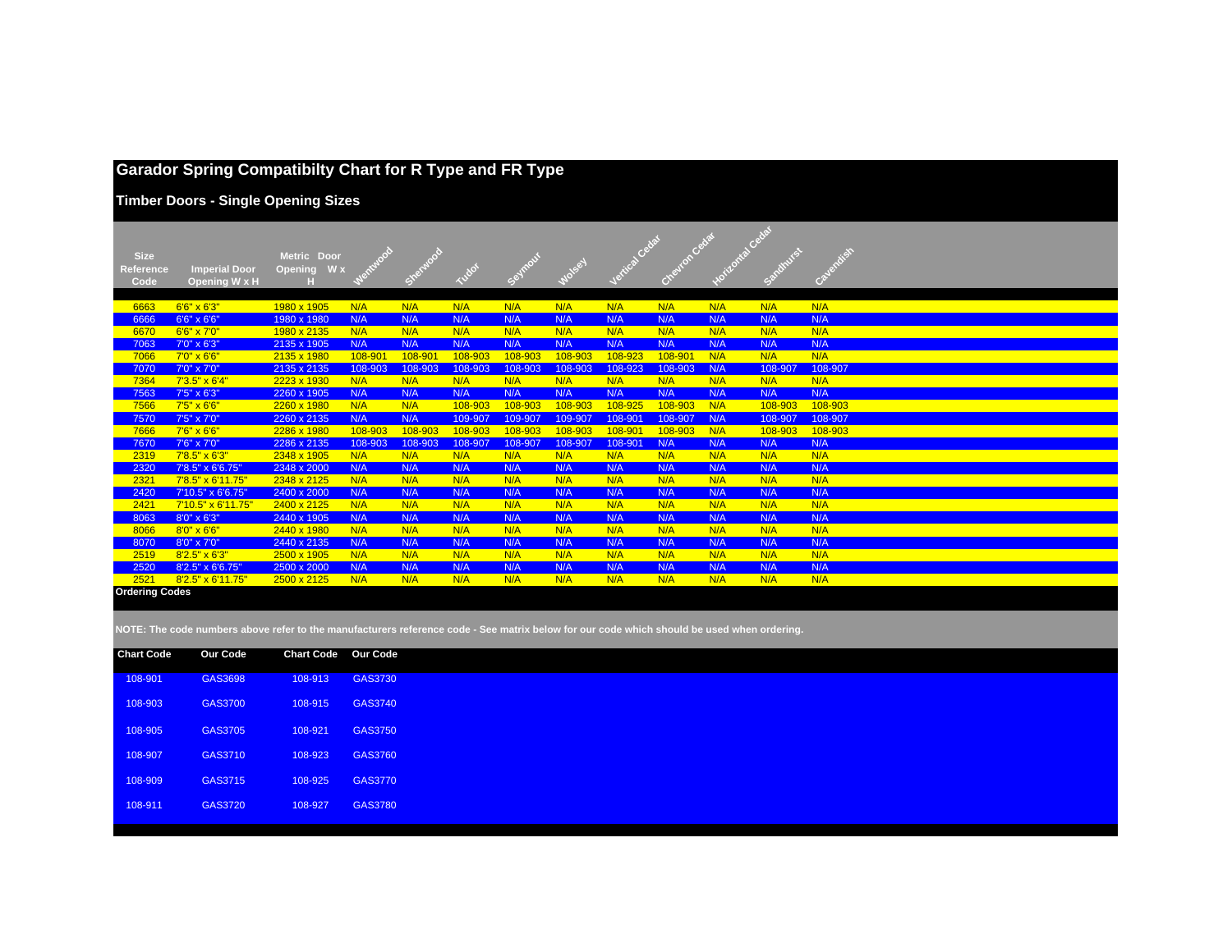## **Garador Spring Compatibilty Chart for R Type and FR Type**

**Timber Doors - Single Opening Sizes**

|                       |                        |                       |         |         |         |         |               |         |         | Cedar |         |           |  |
|-----------------------|------------------------|-----------------------|---------|---------|---------|---------|---------------|---------|---------|-------|---------|-----------|--|
| <b>Size</b>           |                        | <b>Metric</b><br>Door |         |         |         |         |               |         |         |       |         | Cayandish |  |
| <b>Reference</b>      | <b>Imperial Door</b>   | W x<br>Opening        |         |         |         | Seymour | <b>1050-4</b> |         |         |       |         |           |  |
| Code                  | Opening W x H          |                       |         | Show    |         |         |               |         |         |       |         |           |  |
|                       |                        |                       |         |         |         |         |               |         |         |       |         |           |  |
| 6663                  | $6'6'' \times 6'3''$   | 1980 x 1905           | N/A     | N/A     | N/A     | N/A     | N/A           | N/A     | N/A     | N/A   | N/A     | N/A       |  |
| 6666                  | 6'6" x 6'6"            | 1980 x 1980           | N/A     | N/A     | N/A     | N/A     | N/A           | N/A     | N/A     | N/A   | N/A     | N/A       |  |
| 6670                  | $6'6'' \times 7'0''$   | 1980 x 2135           | N/A     | N/A     | N/A     | N/A     | N/A           | N/A     | N/A     | N/A   | N/A     | N/A       |  |
| 7063                  | 7'0" x 6'3"            | 2135 x 1905           | N/A     | N/A     | N/A     | N/A     | N/A           | N/A     | N/A     | N/A   | N/A     | N/A       |  |
| 7066                  | $7'0'' \times 6'6''$   | 2135 x 1980           | 108-901 | 108-901 | 108-903 | 108-903 | 108-903       | 108-923 | 108-901 | N/A   | N/A     | N/A       |  |
| 7070                  | 7'0" x 7'0"            | 2135 x 2135           | 108-903 | 108-903 | 108-903 | 108-903 | 108-903       | 108-923 | 108-903 | N/A   | 108-907 | 108-907   |  |
| 7364                  | $7'3.5'' \times 6'4''$ | 2223 x 1930           | N/A     | N/A     | N/A     | N/A     | N/A           | N/A     | N/A     | N/A   | N/A     | N/A       |  |
| 7563                  | 7'5" x 6'3"            | 2260 x 1905           | N/A     | N/A     | N/A     | N/A     | N/A           | N/A     | N/A     | N/A   | N/A     | N/A       |  |
| 7566                  | $7'5'' \times 6'6''$   | 2260 x 1980           | N/A     | N/A     | 108-903 | 108-903 | 108-903       | 108-925 | 108-903 | N/A   | 108-903 | 108-903   |  |
| 7570                  | 7'5" x 7'0"            | 2260 x 2135           | N/A     | N/A     | 109-907 | 109-907 | 109-907       | 108-901 | 108-907 | N/A   | 108-907 | 108-907   |  |
| 7666                  | 7'6" x 6'6"            | 2286 x 1980           | 108-903 | 108-903 | 108-903 | 108-903 | 108-903       | 108-901 | 108-903 | N/A   | 108-903 | 108-903   |  |
| 7670                  | 7'6" x 7'0"            | 2286 x 2135           | 108-903 | 108-903 | 108-907 | 108-907 | 108-907       | 108-901 | N/A     | N/A   | N/A     | N/A       |  |
| 2319                  | $7'8.5'' \times 6'3''$ | 2348 x 1905           | N/A     | N/A     | N/A     | N/A     | N/A           | N/A     | N/A     | N/A   | N/A     | N/A       |  |
| 2320                  | 7'8.5" x 6'6.75"       | 2348 x 2000           | N/A     | N/A     | N/A     | N/A     | N/A           | N/A     | N/A     | N/A   | N/A     | N/A       |  |
| 2321                  | 7'8.5" x 6'11.75'      | 2348 x 2125           | N/A     | N/A     | N/A     | N/A     | N/A           | N/A     | N/A     | N/A   | N/A     | N/A       |  |
| 2420                  | 7'10.5" x 6'6.75"      | 2400 x 2000           | N/A     | N/A     | N/A     | N/A     | N/A           | N/A     | N/A     | N/A   | N/A     | N/A       |  |
| 2421                  | 7'10.5" x 6'11.75"     | 2400 x 2125           | N/A     | N/A     | N/A     | N/A     | N/A           | N/A     | N/A     | N/A   | N/A     | N/A       |  |
| 8063                  | 8'0" x 6'3"            | 2440 x 1905           | N/A     | N/A     | N/A     | N/A     | N/A           | N/A     | N/A     | N/A   | N/A     | N/A       |  |
| 8066                  | $8'0'' \times 6'6''$   | 2440 x 1980           | N/A     | N/A     | N/A     | N/A     | N/A           | N/A     | N/A     | N/A   | N/A     | N/A       |  |
| 8070                  | 8'0" x 7'0"            | 2440 x 2135           | N/A     | N/A     | N/A     | N/A     | N/A           | N/A     | N/A     | N/A   | N/A     | N/A       |  |
| 2519                  | $8'2.5'' \times 6'3''$ | 2500 x 1905           | N/A     | N/A     | N/A     | N/A     | N/A           | N/A     | N/A     | N/A   | N/A     | N/A       |  |
| 2520                  | 8'2.5" x 6'6.75"       | 2500 x 2000           | N/A     | N/A     | N/A     | N/A     | N/A           | N/A     | N/A     | N/A   | N/A     | N/A       |  |
| 2521                  | 8'2.5" x 6'11.75"      | 2500 x 2125           | N/A     | N/A     | N/A     | N/A     | N/A           | N/A     | N/A     | N/A   | N/A     | N/A       |  |
| <b>Ordering Codes</b> |                        |                       |         |         |         |         |               |         |         |       |         |           |  |

| <b>Chart Code</b> | <b>Our Code</b> | <b>Chart Code Our Code</b> |                |
|-------------------|-----------------|----------------------------|----------------|
| 108-901           | GAS3698         | 108-913                    | GAS3730        |
| 108-903           | GAS3700         | 108-915                    | GAS3740        |
| 108-905           | GAS3705         | 108-921                    | GAS3750        |
| 108-907           | GAS3710         | 108-923                    | GAS3760        |
| 108-909           | GAS3715         | 108-925                    | <b>GAS3770</b> |
| 108-911           | GAS3720         | 108-927                    | GAS3780        |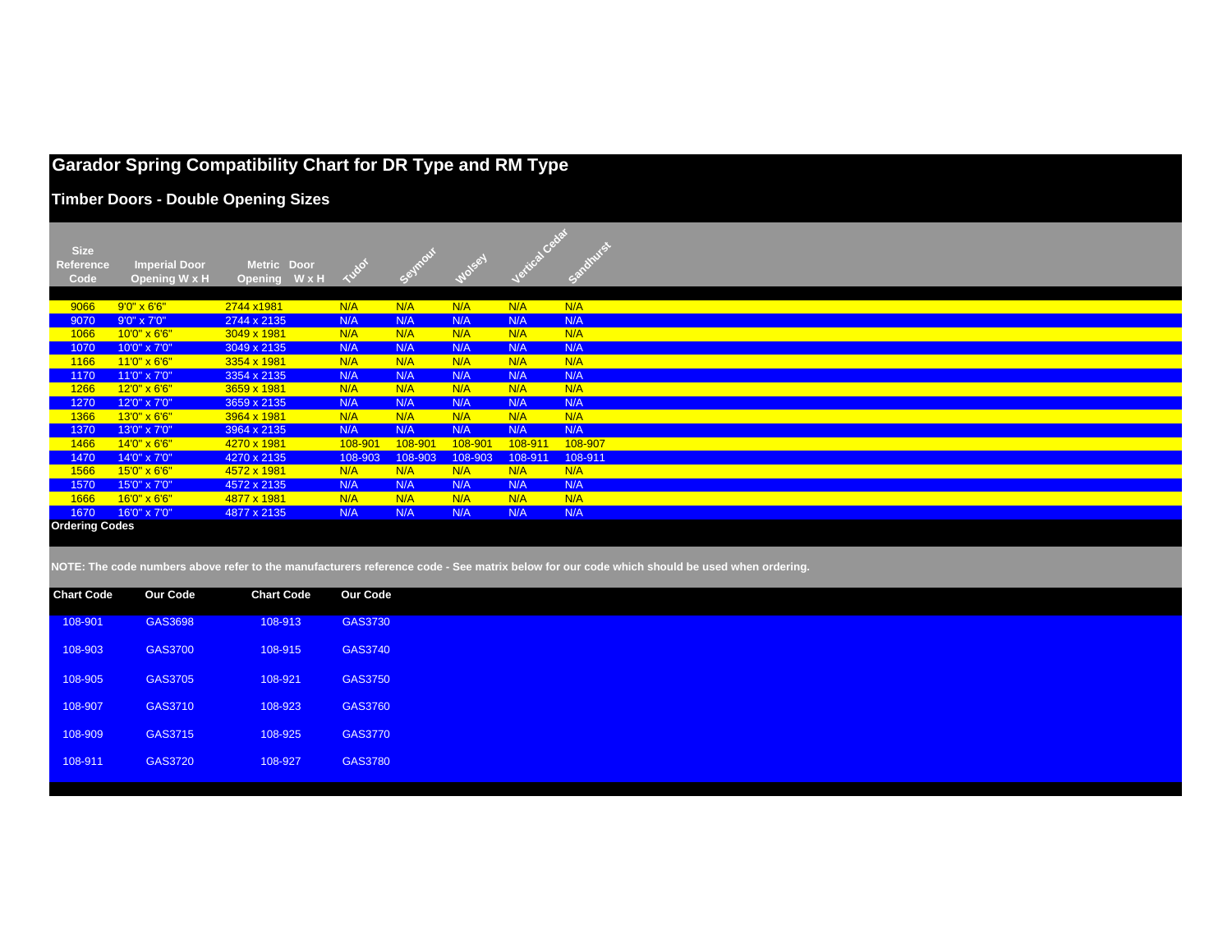# **Garador Spring Compatibility Chart for DR Type and RM Type**

GAS3740

GAS3750

GAS3760

GAS3770

**Timber Doors - Double Opening Sizes**

108-903 GAS3700 108-915 GAS3740

108-905 GAS3705 108-921 GAS3750

108-907 GAS3710 108-923 GAS3760

108-909 GAS3715 108-925 GAS3770

108-911 GAS3720 108-927 GAS3780

| <b>Size</b>           |                       |                       |                 |         |         |         |         |                                                                                                                                            |
|-----------------------|-----------------------|-----------------------|-----------------|---------|---------|---------|---------|--------------------------------------------------------------------------------------------------------------------------------------------|
| <b>Reference</b>      | <b>Imperial Door</b>  | Metric Door           |                 |         |         |         |         |                                                                                                                                            |
| Code                  | Opening W x H         | WxH<br><b>Opening</b> | Tudor           |         |         |         |         |                                                                                                                                            |
|                       |                       |                       |                 |         |         |         |         |                                                                                                                                            |
| 9066                  | $9'0'' \times 6'6''$  | 2744 x1981            | N/A             | N/A     | N/A     | N/A     | N/A     |                                                                                                                                            |
| 9070                  | 9'0" x 7'0"           | 2744 x 2135           | N/A             | N/A     | N/A     | N/A     | N/A     |                                                                                                                                            |
| 1066                  | $10'0'' \times 6'6''$ | 3049 x 1981           | N/A             | N/A     | N/A     | N/A     | N/A     |                                                                                                                                            |
| 1070                  | 10'0" x 7'0"          | 3049 x 2135           | N/A             | N/A     | N/A     | N/A     | N/A     |                                                                                                                                            |
| 1166                  | $11'0'' \times 6'6''$ | 3354 x 1981           | N/A             | N/A     | N/A     | N/A     | N/A     |                                                                                                                                            |
| 1170                  | 11'0" x 7'0"          | 3354 x 2135           | N/A             | N/A     | N/A     | N/A     | N/A     |                                                                                                                                            |
| 1266                  | 12'0" x 6'6"          | 3659 x 1981           | N/A             | N/A     | N/A     | N/A     | N/A     |                                                                                                                                            |
| 1270                  | 12'0" x 7'0"          | 3659 x 2135           | N/A             | N/A     | N/A     | N/A     | N/A     |                                                                                                                                            |
| 1366                  | 13'0" x 6'6"          | 3964 x 1981           | N/A             | N/A     | N/A     | N/A     | N/A     |                                                                                                                                            |
| 1370                  | 13'0" x 7'0"          | 3964 x 2135           | N/A             | N/A     | N/A     | N/A     | N/A     |                                                                                                                                            |
| 1466                  | 14'0" x 6'6"          | 4270 x 1981           | 108-901         | 108-901 | 108-901 | 108-911 | 108-907 |                                                                                                                                            |
| 1470                  | 14'0" x 7'0"          | 4270 x 2135           | 108-903         | 108-903 | 108-903 | 108-911 | 108-911 |                                                                                                                                            |
| 1566                  | 15'0" x 6'6"          | 4572 x 1981           | N/A             | N/A     | N/A     | N/A     | N/A     |                                                                                                                                            |
| 1570                  | 15'0" x 7'0"          | 4572 x 2135           | N/A             | N/A     | N/A     | N/A     | N/A     |                                                                                                                                            |
| 1666                  | $16'0'' \times 6'6''$ | 4877 x 1981           | N/A             | N/A     | N/A     | N/A     | N/A     |                                                                                                                                            |
| 1670                  | 16'0" x 7'0"          | 4877 x 2135           | N/A             | N/A     | N/A     | N/A     | N/A     |                                                                                                                                            |
| <b>Ordering Codes</b> |                       |                       |                 |         |         |         |         |                                                                                                                                            |
|                       |                       |                       |                 |         |         |         |         |                                                                                                                                            |
|                       |                       |                       |                 |         |         |         |         |                                                                                                                                            |
|                       |                       |                       |                 |         |         |         |         | NOTE: The code numbers above refer to the manufacturers reference code - See matrix below for our code which should be used when ordering. |
| <b>Chart Code</b>     | <b>Our Code</b>       | <b>Chart Code</b>     | <b>Our Code</b> |         |         |         |         |                                                                                                                                            |
|                       |                       |                       |                 |         |         |         |         |                                                                                                                                            |
| 108-901               | GAS3698               | 108-913               | GAS3730         |         |         |         |         |                                                                                                                                            |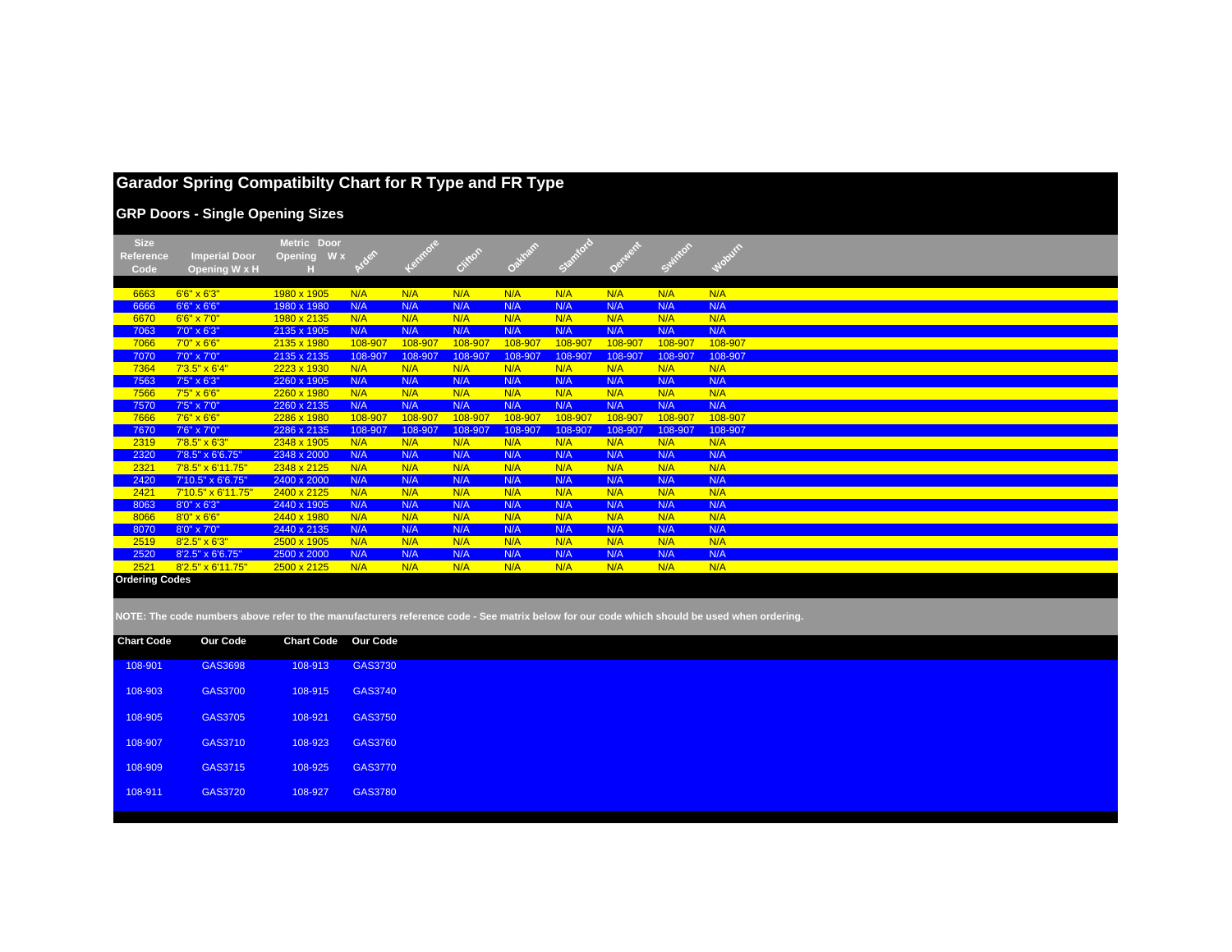|                                  | <b>Garador Spring Compatibilty Chart for R Type and FR Type</b><br><b>GRP Doors - Single Opening Sizes</b> |                               |            |            |            |            |            |            |            |            |
|----------------------------------|------------------------------------------------------------------------------------------------------------|-------------------------------|------------|------------|------------|------------|------------|------------|------------|------------|
| <b>Size</b><br>Reference<br>Code | <b>Imperial Door</b><br>Opening W x H                                                                      | Metric Door<br>Opening<br>W x |            |            | Ciliton    | Oakham     | Stanford   |            | Swinton    | Mobum      |
| 6663                             | $6'6'' \times 6'3''$                                                                                       | 1980 x 1905                   | N/A        | N/A        | N/A        | N/A        | N/A        | N/A        | N/A        | N/A        |
| 6666                             | 6'6" x 6'6"                                                                                                | 1980 x 1980                   | N/A        | N/A        | N/A        | N/A        | N/A        | N/A        | N/A        | N/A        |
| 6670                             | 6'6" x 7'0"                                                                                                | 1980 x 2135                   | N/A        | N/A        | N/A        | N/A        | N/A        | N/A        | N/A        | N/A        |
| 7063                             | 7'0" x 6'3"                                                                                                | 2135 x 1905                   | N/A        | N/A        | N/A        | N/A        | N/A        | N/A        | N/A        | N/A        |
| 7066                             | $7'0'' \times 6'6''$                                                                                       | 2135 x 1980                   | 108-907    | 108-907    | 108-907    | 108-907    | 108-907    | 108-907    | 108-907    | 108-907    |
| 7070                             | 7'0" x 7'0"                                                                                                | 2135 x 2135                   | 108-907    | 108-907    | 108-907    | 108-907    | 108-907    | 108-907    | 108-907    | 108-907    |
| 7364                             | $7'3.5'' \times 6'4''$                                                                                     | 2223 x 1930                   | N/A        | N/A        | N/A        | N/A        | N/A        | N/A        | N/A        | N/A        |
| 7563                             | 7'5" x 6'3"                                                                                                | 2260 x 1905                   | N/A        | N/A        | N/A        | N/A        | N/A        | N/A        | N/A        | N/A        |
| 7566                             | 7'5" x 6'6"                                                                                                | 2260 x 1980                   | N/A        | N/A        | N/A        | N/A        | N/A        | N/A        | N/A        | N/A        |
| 7570                             | 7'5" x 7'0"                                                                                                | 2260 x 2135                   | N/A        | N/A        | N/A        | N/A        | N/A        | N/A        | N/A        | N/A        |
| 7666                             | 7'6" x 6'6"                                                                                                | 2286 x 1980                   | 108-907    | 108-907    | 108-907    | 108-907    | 108-907    | 108-907    | 108-907    | 108-907    |
| 7670                             | 7'6" x 7'0"                                                                                                | 2286 x 2135                   | 108-907    | 108-907    | 108-907    | 108-907    | 108-907    | 108-907    | 108-907    | 108-907    |
| 2319                             | $7'8.5'' \times 6'3''$                                                                                     | 2348 x 1905                   | N/A        | N/A        | N/A        | N/A        | N/A        | N/A        | N/A        | N/A        |
| 2320                             | 7'8.5" x 6'6.75"                                                                                           | 2348 x 2000                   | N/A        | N/A        | N/A        | N/A        | N/A        | N/A        | N/A        | N/A        |
| 2321                             | 7'8.5" x 6'11.75"                                                                                          | 2348 x 2125                   | N/A        | N/A        | N/A        | N/A        | N/A        | N/A        | N/A        | N/A        |
| 2420                             | 7'10.5" x 6'6.75"                                                                                          | 2400 x 2000                   | N/A        | N/A        | N/A        | N/A        | N/A        | N/A        | N/A        | N/A        |
| 2421                             | 7'10.5" x 6'11.75"                                                                                         | 2400 x 2125                   | N/A        | N/A        | N/A        | N/A        | N/A        | N/A        | N/A        | N/A        |
| 8063                             | 8'0" x 6'3"                                                                                                | 2440 x 1905                   | N/A        | N/A        | N/A        | N/A        | N/A        | N/A        | N/A        | N/A        |
| 8066                             | $8'0'' \times 6'6''$                                                                                       | 2440 x 1980                   | N/A        | N/A        | N/A        | N/A        | N/A        | N/A        | N/A        | N/A        |
| 8070                             | 8'0" x 7'0"                                                                                                | 2440 x 2135                   | N/A        | N/A        | N/A        | N/A        | N/A        | N/A        | N/A        | N/A        |
| 2519<br>2520                     | $8'2.5'' \times 6'3''$<br>8'2.5" x 6'6.75"                                                                 | 2500 x 1905<br>2500 x 2000    | N/A<br>N/A | N/A<br>N/A | N/A<br>N/A | N/A<br>N/A | N/A<br>N/A | N/A<br>N/A | N/A<br>N/A | N/A<br>N/A |
| 2521                             | 8'2.5" x 6'11.75"                                                                                          | 2500 x 2125                   | N/A        | N/A        | N/A        | N/A        | N/A        | N/A        | N/A        | N/A        |
| <b>Ordering Codes</b>            |                                                                                                            |                               |            |            |            |            |            |            |            |            |

| <b>Chart Code</b> | Our Code | <b>Chart Code Our Code</b> |                |
|-------------------|----------|----------------------------|----------------|
| 108-901           | GAS3698  | 108-913                    | GAS3730        |
| 108-903           | GAS3700  | 108-915                    | GAS3740        |
| 108-905           | GAS3705  | 108-921                    | GAS3750        |
| 108-907           | GAS3710  | 108-923                    | GAS3760        |
| 108-909           | GAS3715  | 108-925                    | <b>GAS3770</b> |
| 108-911           | GAS3720  | 108-927                    | <b>GAS3780</b> |
|                   |          |                            |                |